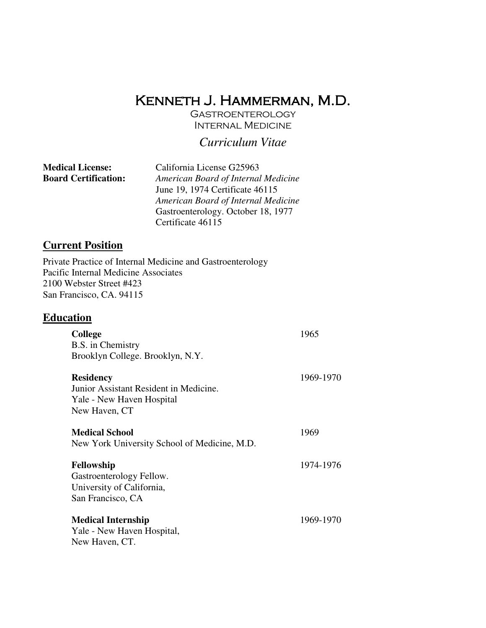# Kenneth J. Hammerman, M.D.

**GASTROENTEROLOGY** INTERNAL MEDICINE

# *Curriculum Vitae*

| <b>Medical License:</b>     | California License G25963           |
|-----------------------------|-------------------------------------|
| <b>Board Certification:</b> | American Board of Internal Medicine |
|                             | June 19, 1974 Certificate 46115     |
|                             | American Board of Internal Medicine |
|                             | Gastroenterology. October 18, 1977  |
|                             | Certificate 46115                   |

# **Current Position**

Private Practice of Internal Medicine and Gastroenterology Pacific Internal Medicine Associates 2100 Webster Street #423 San Francisco, CA. 94115

# **Education**

| <b>College</b>                               | 1965      |
|----------------------------------------------|-----------|
| B.S. in Chemistry                            |           |
| Brooklyn College. Brooklyn, N.Y.             |           |
|                                              |           |
| <b>Residency</b>                             | 1969-1970 |
| Junior Assistant Resident in Medicine.       |           |
| Yale - New Haven Hospital                    |           |
| New Haven, CT                                |           |
| <b>Medical School</b>                        | 1969      |
| New York University School of Medicine, M.D. |           |
|                                              |           |
| Fellowship                                   | 1974-1976 |
| Gastroenterology Fellow.                     |           |
| University of California,                    |           |
| San Francisco, CA                            |           |
|                                              |           |
| <b>Medical Internship</b>                    | 1969-1970 |
| Yale - New Haven Hospital,                   |           |
| New Haven, CT.                               |           |
|                                              |           |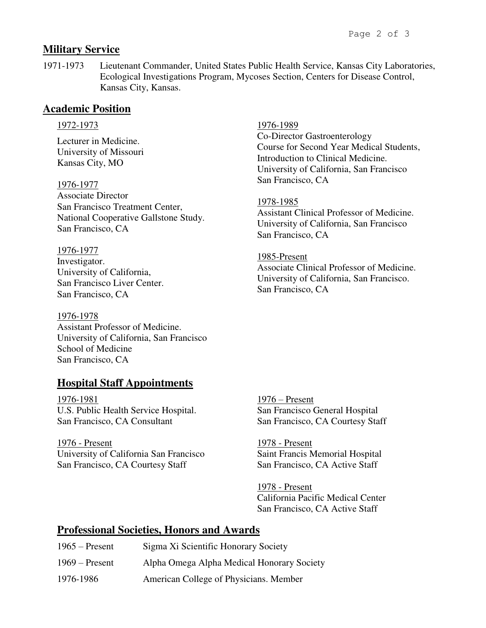## **Military Service**

1971-1973 Lieutenant Commander, United States Public Health Service, Kansas City Laboratories, Ecological Investigations Program, Mycoses Section, Centers for Disease Control, Kansas City, Kansas.

### **Academic Position**

#### 1972-1973

Lecturer in Medicine. University of Missouri Kansas City, MO

1976-1977 Associate Director San Francisco Treatment Center, National Cooperative Gallstone Study. San Francisco, CA

1976-1977 Investigator. University of California, San Francisco Liver Center. San Francisco, CA

1976-1978 Assistant Professor of Medicine. University of California, San Francisco School of Medicine San Francisco, CA

# **Hospital Staff Appointments**

1976-1981 U.S. Public Health Service Hospital. San Francisco, CA Consultant

1976 - Present University of California San Francisco San Francisco, CA Courtesy Staff

1976-1989

Co-Director Gastroenterology Course for Second Year Medical Students, Introduction to Clinical Medicine. University of California, San Francisco San Francisco, CA

#### 1978-1985

Assistant Clinical Professor of Medicine. University of California, San Francisco San Francisco, CA

#### 1985-Present

Associate Clinical Professor of Medicine. University of California, San Francisco. San Francisco, CA

1976 – Present San Francisco General Hospital San Francisco, CA Courtesy Staff

1978 - Present Saint Francis Memorial Hospital San Francisco, CA Active Staff

1978 - Present California Pacific Medical Center San Francisco, CA Active Staff

### **Professional Societies, Honors and Awards**

| $1965$ – Present | Sigma Xi Scientific Honorary Society       |
|------------------|--------------------------------------------|
| $1969$ – Present | Alpha Omega Alpha Medical Honorary Society |
| 1976-1986        | American College of Physicians. Member     |